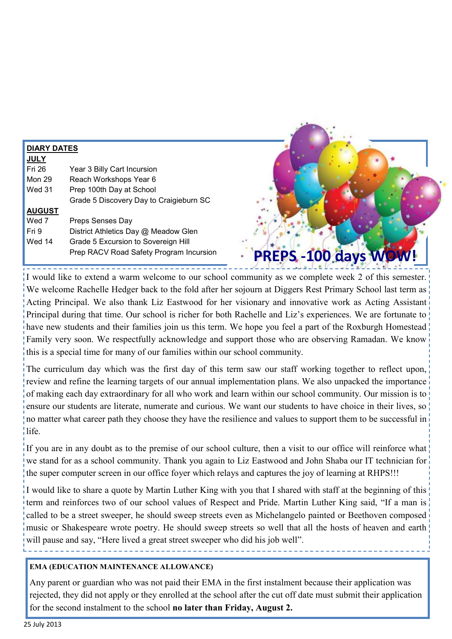| <b>DIARY DATES</b> |                                         |                       |
|--------------------|-----------------------------------------|-----------------------|
| <b>JULY</b>        |                                         |                       |
| Fri 26             | Year 3 Billy Cart Incursion             |                       |
| Mon 29             | Reach Workshops Year 6                  |                       |
| Wed 31             | Prep 100th Day at School                |                       |
|                    | Grade 5 Discovery Day to Craigieburn SC |                       |
| <b>AUGUST</b>      |                                         |                       |
| Wed 7              | Preps Senses Day                        |                       |
| Fri 9              | District Athletics Day @ Meadow Glen    |                       |
| Wed 14             | Grade 5 Excursion to Sovereign Hill     |                       |
|                    | Prep RACV Road Safety Program Incursion | PREPS - 100 days WOW! |

I would like to extend a warm welcome to our school community as we complete week 2 of this semester. We welcome Rachelle Hedger back to the fold after her sojourn at Diggers Rest Primary School last term as Acting Principal. We also thank Liz Eastwood for her visionary and innovative work as Acting Assistant Principal during that time. Our school is richer for both Rachelle and Liz's experiences. We are fortunate to have new students and their families join us this term. We hope you feel a part of the Roxburgh Homestead Family very soon. We respectfully acknowledge and support those who are observing Ramadan. We know this is a special time for many of our families within our school community.

The curriculum day which was the first day of this term saw our staff working together to reflect upon, review and refine the learning targets of our annual implementation plans. We also unpacked the importance of making each day extraordinary for all who work and learn within our school community. Our mission is to ensure our students are literate, numerate and curious. We want our students to have choice in their lives, so no matter what career path they choose they have the resilience and values to support them to be successful in life.

If you are in any doubt as to the premise of our school culture, then a visit to our office will reinforce what we stand for as a school community. Thank you again to Liz Eastwood and John Shaba our IT technician for the super computer screen in our office foyer which relays and captures the joy of learning at RHPS!!!

I would like to share a quote by Martin Luther King with you that I shared with staff at the beginning of this term and reinforces two of our school values of Respect and Pride. Martin Luther King said, "If a man is called to be a street sweeper, he should sweep streets even as Michelangelo painted or Beethoven composed music or Shakespeare wrote poetry. He should sweep streets so well that all the hosts of heaven and earth will pause and say, "Here lived a great street sweeper who did his job well".

#### **EMA (EDUCATION MAINTENANCE ALLOWANCE)**

Any parent or guardian who was not paid their EMA in the first instalment because their application was rejected, they did not apply or they enrolled at the school after the cut off date must submit their application for the second instalment to the school **no later than Friday, August 2.**